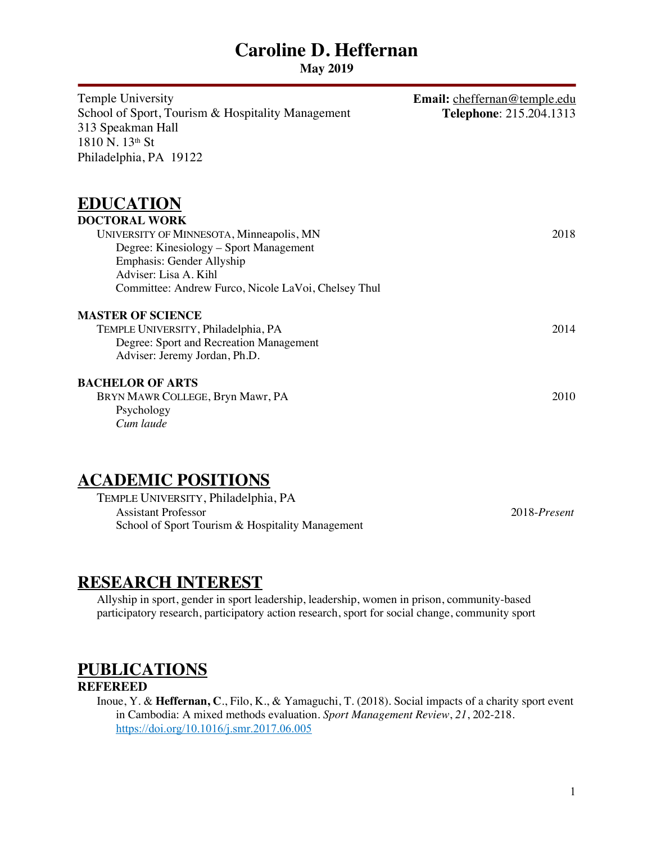**May 2019** 

| Temple University<br>School of Sport, Tourism & Hospitality Management<br>313 Speakman Hall<br>1810 N. 13th St<br>Philadelphia, PA 19122                                                                                                    | Email: cheffernan@temple.edu<br>Telephone: 215.204.1313 |
|---------------------------------------------------------------------------------------------------------------------------------------------------------------------------------------------------------------------------------------------|---------------------------------------------------------|
| <b>EDUCATION</b><br><b>DOCTORAL WORK</b><br>UNIVERSITY OF MINNESOTA, Minneapolis, MN<br>Degree: Kinesiology – Sport Management<br>Emphasis: Gender Allyship<br>Adviser: Lisa A. Kihl<br>Committee: Andrew Furco, Nicole LaVoi, Chelsey Thul | 2018                                                    |
| <b>MASTER OF SCIENCE</b><br>TEMPLE UNIVERSITY, Philadelphia, PA<br>Degree: Sport and Recreation Management<br>Adviser: Jeremy Jordan, Ph.D.                                                                                                 | 2014                                                    |
| <b>BACHELOR OF ARTS</b><br>BRYN MAWR COLLEGE, Bryn Mawr, PA<br>Psychology<br>Cum laude                                                                                                                                                      | 2010                                                    |

### **ACADEMIC POSITIONS**

| TEMPLE UNIVERSITY, Philadelphia, PA              |              |
|--------------------------------------------------|--------------|
| Assistant Professor                              | 2018-Present |
| School of Sport Tourism & Hospitality Management |              |

### **RESEARCH INTEREST**

Allyship in sport, gender in sport leadership, leadership, women in prison, community-based participatory research, participatory action research, sport for social change, community sport

## **PUBLICATIONS**

#### **REFEREED**

Inoue, Y. & **Heffernan, C**., Filo, K., & Yamaguchi, T. (2018). Social impacts of a charity sport event in Cambodia: A mixed methods evaluation. *Sport Management Review*, *21*, 202-218. https://doi.org/10.1016/j.smr.2017.06.005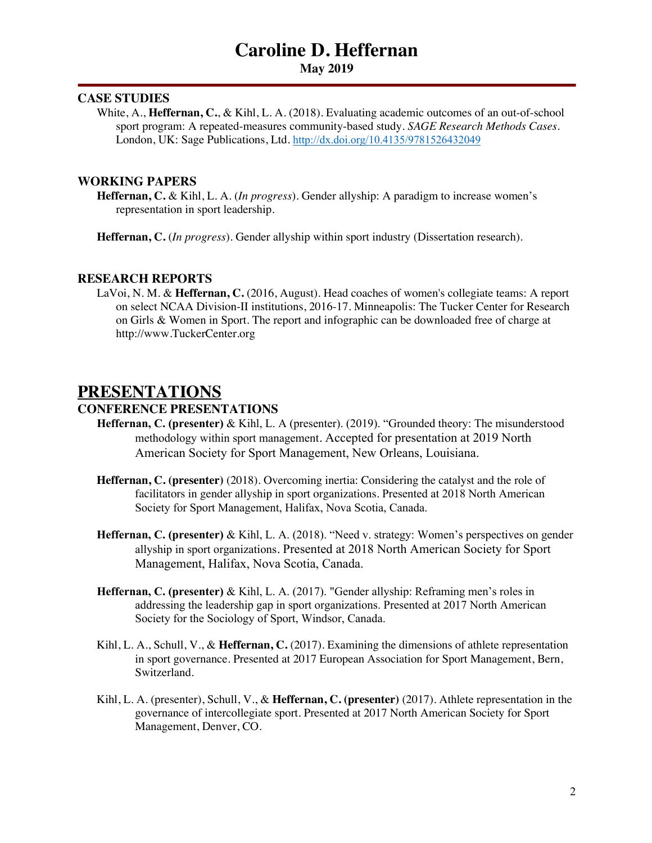**May 2019** 

#### **CASE STUDIES**

White, A., **Heffernan, C.**, & Kihl, L. A. (2018)*.* Evaluating academic outcomes of an out-of-school sport program: A repeated-measures community-based study. *SAGE Research Methods Cases*. London, UK: Sage Publications, Ltd. http://dx.doi.org/10.4135/9781526432049

#### **WORKING PAPERS**

**Heffernan, C.** & Kihl, L. A. (*In progress*). Gender allyship: A paradigm to increase women's representation in sport leadership.

**Heffernan, C.** (*In progress*). Gender allyship within sport industry (Dissertation research).

#### **RESEARCH REPORTS**

LaVoi, N. M. & **Heffernan, C.** (2016, August). Head coaches of women's collegiate teams: A report on select NCAA Division-II institutions, 2016-17. Minneapolis: The Tucker Center for Research on Girls & Women in Sport. The report and infographic can be downloaded free of charge at http://www.TuckerCenter.org

### **PRESENTATIONS**

#### **CONFERENCE PRESENTATIONS**

- **Heffernan, C. (presenter)** & Kihl, L. A (presenter). (2019). "Grounded theory: The misunderstood methodology within sport management. Accepted for presentation at 2019 North American Society for Sport Management, New Orleans, Louisiana.
- **Heffernan, C. (presenter)** (2018). Overcoming inertia: Considering the catalyst and the role of facilitators in gender allyship in sport organizations. Presented at 2018 North American Society for Sport Management, Halifax, Nova Scotia, Canada.
- **Heffernan, C. (presenter)** & Kihl, L. A. (2018). "Need v. strategy: Women's perspectives on gender allyship in sport organizations. Presented at 2018 North American Society for Sport Management, Halifax, Nova Scotia, Canada.
- **Heffernan, C. (presenter)** & Kihl, L. A. (2017). "Gender allyship: Reframing men's roles in addressing the leadership gap in sport organizations. Presented at 2017 North American Society for the Sociology of Sport, Windsor, Canada.
- Kihl, L. A., Schull, V., & **Heffernan, C.** (2017). Examining the dimensions of athlete representation in sport governance. Presented at 2017 European Association for Sport Management, Bern, Switzerland.
- Kihl, L. A. (presenter), Schull, V., & **Heffernan, C. (presenter)** (2017). Athlete representation in the governance of intercollegiate sport. Presented at 2017 North American Society for Sport Management, Denver, CO.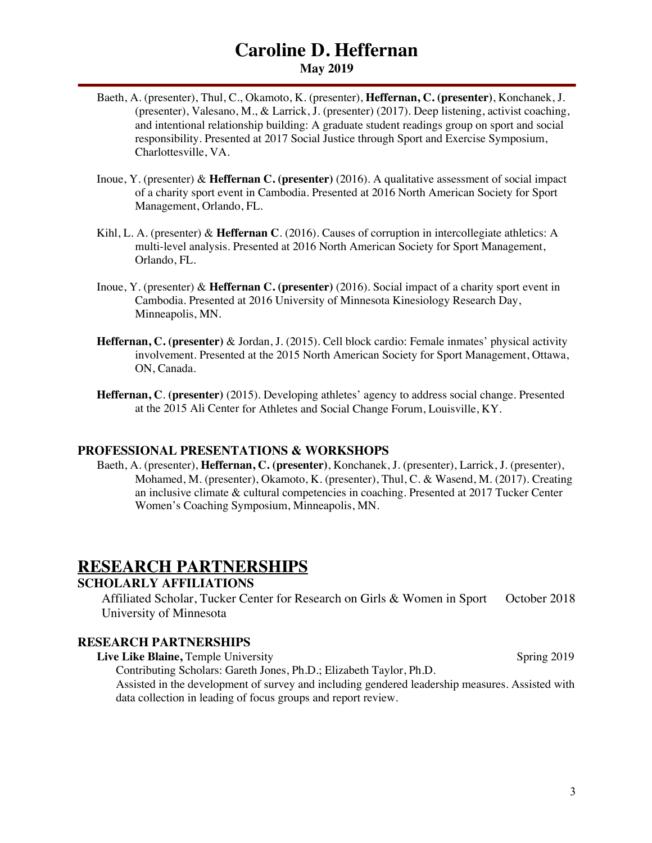- Baeth, A. (presenter), Thul, C., Okamoto, K. (presenter), **Heffernan, C. (presenter)**, Konchanek, J. (presenter), Valesano, M., & Larrick, J. (presenter) (2017). Deep listening, activist coaching, and intentional relationship building: A graduate student readings group on sport and social responsibility. Presented at 2017 Social Justice through Sport and Exercise Symposium, Charlottesville, VA.
- Inoue, Y. (presenter) & **Heffernan C. (presenter)** (2016). A qualitative assessment of social impact of a charity sport event in Cambodia. Presented at 2016 North American Society for Sport Management, Orlando, FL.
- Kihl, L. A. (presenter) & **Heffernan C**. (2016). Causes of corruption in intercollegiate athletics: A multi-level analysis. Presented at 2016 North American Society for Sport Management, Orlando, FL.
- Inoue, Y. (presenter) & **Heffernan C. (presenter)** (2016). Social impact of a charity sport event in Cambodia. Presented at 2016 University of Minnesota Kinesiology Research Day, Minneapolis, MN.
- **Heffernan, C. (presenter)** & Jordan, J. (2015). Cell block cardio: Female inmates' physical activity involvement. Presented at the 2015 North American Society for Sport Management, Ottawa, ON, Canada.
- **Heffernan, C**. **(presenter)** (2015). Developing athletes' agency to address social change. Presented at the 2015 Ali Center for Athletes and Social Change Forum, Louisville, KY.

#### **PROFESSIONAL PRESENTATIONS & WORKSHOPS**

Baeth, A. (presenter), **Heffernan, C. (presenter)**, Konchanek, J. (presenter), Larrick, J. (presenter), Mohamed, M. (presenter), Okamoto, K. (presenter), Thul, C. & Wasend, M. (2017). Creating an inclusive climate & cultural competencies in coaching. Presented at 2017 Tucker Center Women's Coaching Symposium, Minneapolis, MN.

### **RESEARCH PARTNERSHIPS**

#### **SCHOLARLY AFFILIATIONS**

Affiliated Scholar, Tucker Center for Research on Girls & Women in Sport October 2018 University of Minnesota

#### **RESEARCH PARTNERSHIPS**

**Live Like Blaine,** Temple University Spring 2019 Contributing Scholars: Gareth Jones, Ph.D.; Elizabeth Taylor, Ph.D. Assisted in the development of survey and including gendered leadership measures. Assisted with data collection in leading of focus groups and report review.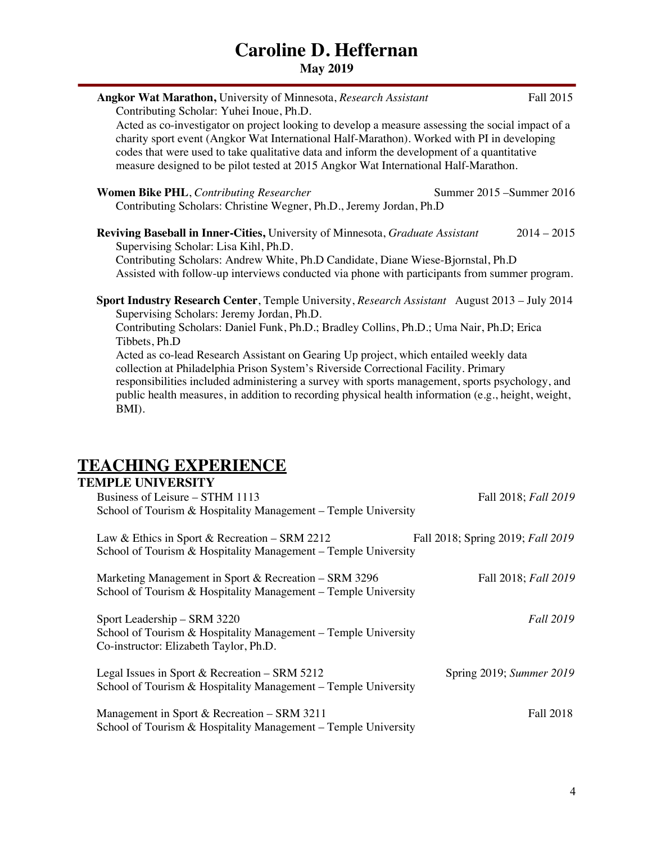| <b>Angkor Wat Marathon, University of Minnesota, Research Assistant</b><br>Contributing Scholar: Yuhei Inoue, Ph.D.                                                                                                                                                                                                                                                                  | Fall 2015     |
|--------------------------------------------------------------------------------------------------------------------------------------------------------------------------------------------------------------------------------------------------------------------------------------------------------------------------------------------------------------------------------------|---------------|
| Acted as co-investigator on project looking to develop a measure assessing the social impact of a<br>charity sport event (Angkor Wat International Half-Marathon). Worked with PI in developing<br>codes that were used to take qualitative data and inform the development of a quantitative<br>measure designed to be pilot tested at 2015 Angkor Wat International Half-Marathon. |               |
| <b>Women Bike PHL, Contributing Researcher</b><br>Summer 2015 - Summer 2016<br>Contributing Scholars: Christine Wegner, Ph.D., Jeremy Jordan, Ph.D                                                                                                                                                                                                                                   |               |
| Reviving Baseball in Inner-Cities, University of Minnesota, Graduate Assistant<br>Supervising Scholar: Lisa Kihl, Ph.D.                                                                                                                                                                                                                                                              | $2014 - 2015$ |
| Contributing Scholars: Andrew White, Ph.D Candidate, Diane Wiese-Bjornstal, Ph.D                                                                                                                                                                                                                                                                                                     |               |
| Assisted with follow-up interviews conducted via phone with participants from summer program.                                                                                                                                                                                                                                                                                        |               |
| <b>Sport Industry Research Center, Temple University, Research Assistant August 2013 – July 2014</b>                                                                                                                                                                                                                                                                                 |               |
| Supervising Scholars: Jeremy Jordan, Ph.D.                                                                                                                                                                                                                                                                                                                                           |               |
| Contributing Scholars: Daniel Funk, Ph.D.; Bradley Collins, Ph.D.; Uma Nair, Ph.D; Erica<br>Tibbets, Ph.D                                                                                                                                                                                                                                                                            |               |
| Acted as co-lead Research Assistant on Gearing Up project, which entailed weekly data<br>collection at Philadelphia Prison System's Riverside Correctional Facility. Primary                                                                                                                                                                                                         |               |
| responsibilities included administering a survey with sports management, sports psychology, and<br>public health measures, in addition to recording physical health information (e.g., height, weight,<br>BMI).                                                                                                                                                                      |               |
|                                                                                                                                                                                                                                                                                                                                                                                      |               |
|                                                                                                                                                                                                                                                                                                                                                                                      |               |
| <b>TEACHING EXPERIENCE</b>                                                                                                                                                                                                                                                                                                                                                           |               |
| <b>TEMPLE UNIVERSITY</b>                                                                                                                                                                                                                                                                                                                                                             |               |

| Business of Leisure – STHM 1113<br>School of Tourism & Hospitality Management – Temple University                                       | Fall 2018; Fall 2019              |
|-----------------------------------------------------------------------------------------------------------------------------------------|-----------------------------------|
| Law & Ethics in Sport & Recreation – SRM 2212<br>School of Tourism & Hospitality Management – Temple University                         | Fall 2018; Spring 2019; Fall 2019 |
| Marketing Management in Sport & Recreation – SRM 3296<br>School of Tourism & Hospitality Management – Temple University                 | Fall 2018; Fall 2019              |
| Sport Leadership – SRM 3220<br>School of Tourism & Hospitality Management – Temple University<br>Co-instructor: Elizabeth Taylor, Ph.D. | <b>Fall 2019</b>                  |
| Legal Issues in Sport & Recreation – SRM 5212<br>School of Tourism & Hospitality Management – Temple University                         | Spring 2019; Summer 2019          |
| Management in Sport & Recreation – SRM 3211<br>School of Tourism & Hospitality Management – Temple University                           | Fall 2018                         |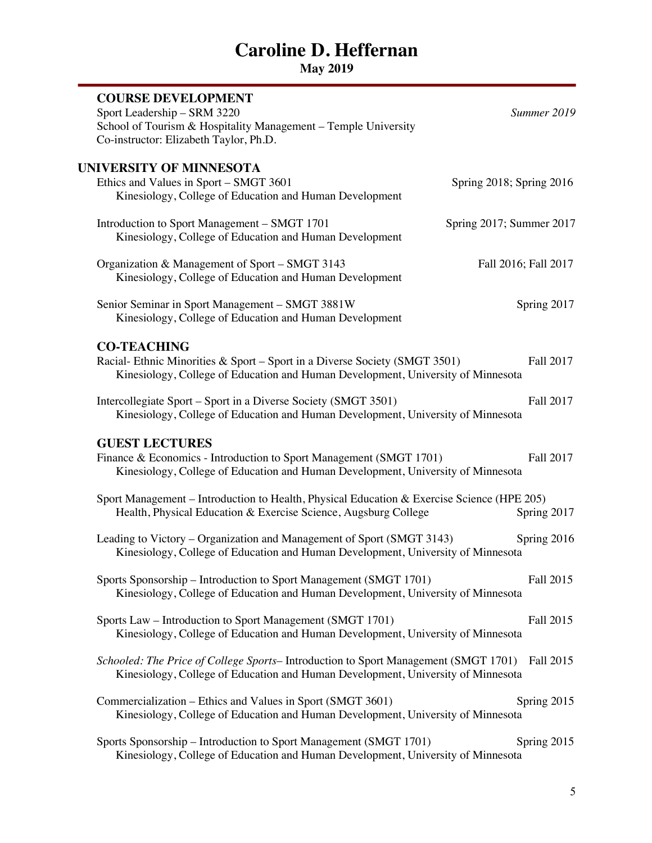| <b>COURSE DEVELOPMENT</b><br>Sport Leadership - SRM 3220<br>School of Tourism & Hospitality Management - Temple University<br>Co-instructor: Elizabeth Taylor, Ph.D.                 | Summer 2019 |
|--------------------------------------------------------------------------------------------------------------------------------------------------------------------------------------|-------------|
| UNIVERSITY OF MINNESOTA<br>Ethics and Values in Sport - SMGT 3601<br>Spring 2018; Spring 2016<br>Kinesiology, College of Education and Human Development                             |             |
| Introduction to Sport Management - SMGT 1701<br>Spring 2017; Summer 2017<br>Kinesiology, College of Education and Human Development                                                  |             |
| Organization & Management of Sport - SMGT 3143<br>Fall 2016; Fall 2017<br>Kinesiology, College of Education and Human Development                                                    |             |
| Senior Seminar in Sport Management - SMGT 3881W<br>Kinesiology, College of Education and Human Development                                                                           | Spring 2017 |
| <b>CO-TEACHING</b><br>Racial- Ethnic Minorities & Sport - Sport in a Diverse Society (SMGT 3501)<br>Kinesiology, College of Education and Human Development, University of Minnesota | Fall 2017   |
| Intercollegiate Sport – Sport in a Diverse Society (SMGT 3501)<br>Kinesiology, College of Education and Human Development, University of Minnesota                                   | Fall 2017   |
| <b>GUEST LECTURES</b><br>Finance & Economics - Introduction to Sport Management (SMGT 1701)<br>Kinesiology, College of Education and Human Development, University of Minnesota      | Fall 2017   |
| Sport Management – Introduction to Health, Physical Education & Exercise Science (HPE 205)<br>Health, Physical Education & Exercise Science, Augsburg College                        | Spring 2017 |
| Leading to Victory - Organization and Management of Sport (SMGT 3143)<br>Kinesiology, College of Education and Human Development, University of Minnesota                            | Spring 2016 |
| Sports Sponsorship - Introduction to Sport Management (SMGT 1701)<br>Kinesiology, College of Education and Human Development, University of Minnesota                                | Fall 2015   |
| Sports Law – Introduction to Sport Management (SMGT 1701)<br>Kinesiology, College of Education and Human Development, University of Minnesota                                        | Fall 2015   |
| Schooled: The Price of College Sports-Introduction to Sport Management (SMGT 1701) Fall 2015<br>Kinesiology, College of Education and Human Development, University of Minnesota     |             |
| Commercialization - Ethics and Values in Sport (SMGT 3601)<br>Kinesiology, College of Education and Human Development, University of Minnesota                                       | Spring 2015 |
| Sports Sponsorship - Introduction to Sport Management (SMGT 1701)<br>Kinesiology, College of Education and Human Development, University of Minnesota                                | Spring 2015 |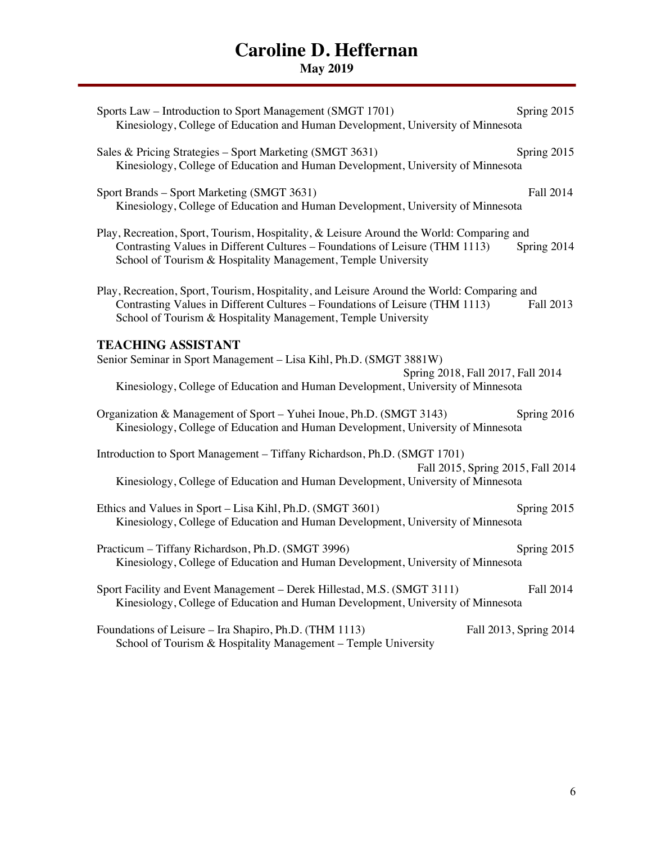| Sports Law – Introduction to Sport Management (SMGT 1701)<br>Kinesiology, College of Education and Human Development, University of Minnesota                                                                                               | Spring 2015            |
|---------------------------------------------------------------------------------------------------------------------------------------------------------------------------------------------------------------------------------------------|------------------------|
| Sales & Pricing Strategies - Sport Marketing (SMGT 3631)<br>Kinesiology, College of Education and Human Development, University of Minnesota                                                                                                | Spring 2015            |
| Sport Brands - Sport Marketing (SMGT 3631)<br>Kinesiology, College of Education and Human Development, University of Minnesota                                                                                                              | Fall 2014              |
| Play, Recreation, Sport, Tourism, Hospitality, & Leisure Around the World: Comparing and<br>Contrasting Values in Different Cultures - Foundations of Leisure (THM 1113)<br>School of Tourism & Hospitality Management, Temple University   | Spring 2014            |
| Play, Recreation, Sport, Tourism, Hospitality, and Leisure Around the World: Comparing and<br>Contrasting Values in Different Cultures - Foundations of Leisure (THM 1113)<br>School of Tourism & Hospitality Management, Temple University | Fall 2013              |
| <b>TEACHING ASSISTANT</b><br>Senior Seminar in Sport Management - Lisa Kihl, Ph.D. (SMGT 3881W)<br>Spring 2018, Fall 2017, Fall 2014<br>Kinesiology, College of Education and Human Development, University of Minnesota                    |                        |
| Organization & Management of Sport - Yuhei Inoue, Ph.D. (SMGT 3143)<br>Kinesiology, College of Education and Human Development, University of Minnesota                                                                                     | Spring 2016            |
| Introduction to Sport Management - Tiffany Richardson, Ph.D. (SMGT 1701)<br>Fall 2015, Spring 2015, Fall 2014<br>Kinesiology, College of Education and Human Development, University of Minnesota                                           |                        |
| Ethics and Values in Sport - Lisa Kihl, Ph.D. (SMGT 3601)<br>Kinesiology, College of Education and Human Development, University of Minnesota                                                                                               | Spring 2015            |
| Practicum - Tiffany Richardson, Ph.D. (SMGT 3996)<br>Kinesiology, College of Education and Human Development, University of Minnesota                                                                                                       | Spring 2015            |
| Sport Facility and Event Management - Derek Hillestad, M.S. (SMGT 3111)<br>Kinesiology, College of Education and Human Development, University of Minnesota                                                                                 | Fall 2014              |
| Foundations of Leisure - Ira Shapiro, Ph.D. (THM 1113)<br>School of Tourism & Hospitality Management - Temple University                                                                                                                    | Fall 2013, Spring 2014 |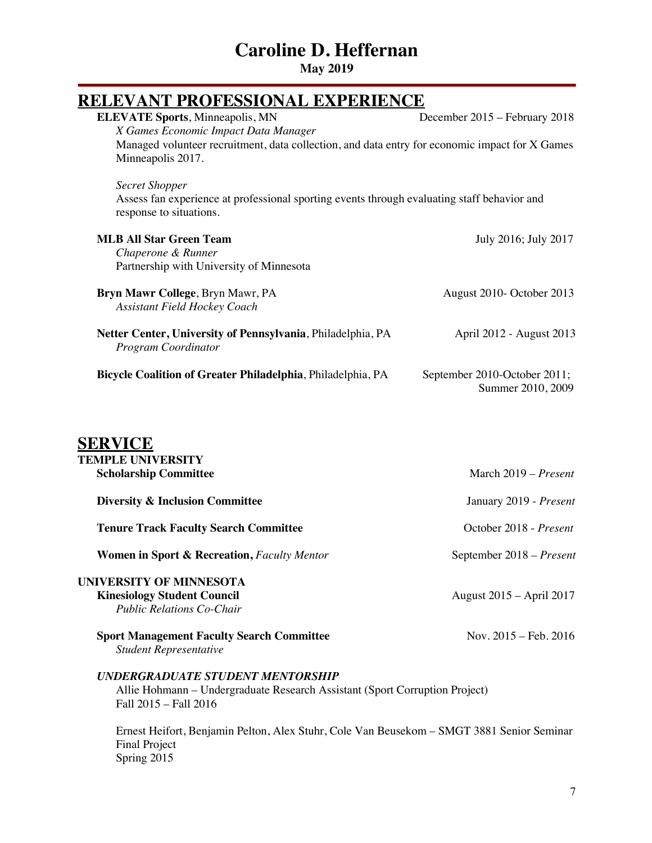| <b>RELEVANT PROFESSIONAL EXPERIENCE</b>                                                                                                                     |                                                   |
|-------------------------------------------------------------------------------------------------------------------------------------------------------------|---------------------------------------------------|
| <b>ELEVATE Sports, Minneapolis, MN</b>                                                                                                                      | December 2015 – February 2018                     |
| X Games Economic Impact Data Manager<br>Managed volunteer recruitment, data collection, and data entry for economic impact for X Games<br>Minneapolis 2017. |                                                   |
| <b>Secret Shopper</b><br>Assess fan experience at professional sporting events through evaluating staff behavior and<br>response to situations.             |                                                   |
| <b>MLB All Star Green Team</b><br>Chaperone & Runner<br>Partnership with University of Minnesota                                                            | July 2016; July 2017                              |
| Bryn Mawr College, Bryn Mawr, PA<br><b>Assistant Field Hockey Coach</b>                                                                                     | August 2010- October 2013                         |
| Netter Center, University of Pennsylvania, Philadelphia, PA<br>Program Coordinator                                                                          | April 2012 - August 2013                          |
| Bicycle Coalition of Greater Philadelphia, Philadelphia, PA                                                                                                 | September 2010-October 2011;<br>Summer 2010, 2009 |
| <b>SERVICE</b><br><b>TEMPLE UNIVERSITY</b><br><b>Scholarship Committee</b>                                                                                  | March 2019 - Present                              |
| <b>Diversity &amp; Inclusion Committee</b>                                                                                                                  | January 2019 - Present                            |
| <b>Tenure Track Faculty Search Committee</b>                                                                                                                | October 2018 - Present                            |
| <b>Women in Sport &amp; Recreation, Faculty Mentor</b>                                                                                                      | September 2018 - Present                          |
| UNIVERSITY OF MINNESOTA<br><b>Kinesiology Student Council</b><br><b>Public Relations Co-Chair</b>                                                           | August 2015 - April 2017                          |
| <b>Sport Management Faculty Search Committee</b><br><b>Student Representative</b>                                                                           | Nov. $2015 - \text{Feb. } 2016$                   |
| <b>UNDERGRADUATE STUDENT MENTORSHIP</b><br>Allie Hohmann – Undergraduate Research Assistant (Sport Corruption Project)<br>Fall 2015 - Fall 2016             |                                                   |
| Ernest Heifort, Benjamin Pelton, Alex Stuhr, Cole Van Beusekom – SMGT 3881 Senior Seminar<br><b>Final Project</b><br>Spring 2015                            |                                                   |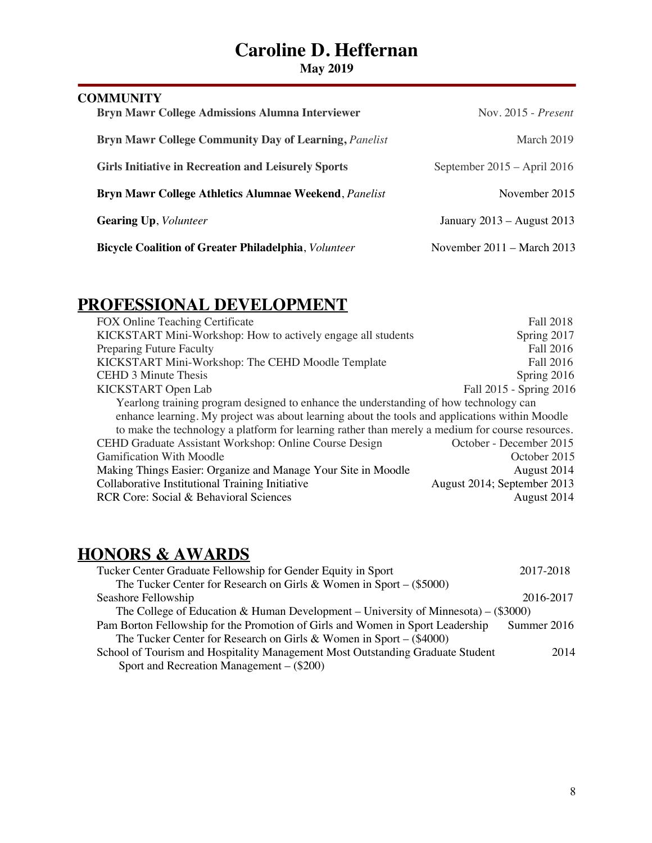**May 2019** 

| <b>COMMUNITY</b><br><b>Bryn Mawr College Admissions Alumna Interviewer</b> | Nov. 2015 - Present           |
|----------------------------------------------------------------------------|-------------------------------|
| <b>Bryn Mawr College Community Day of Learning, Panelist</b>               | March 2019                    |
| <b>Girls Initiative in Recreation and Leisurely Sports</b>                 | September $2015 -$ April 2016 |
| Bryn Mawr College Athletics Alumnae Weekend, Panelist                      | November 2015                 |
| <b>Gearing Up, Volunteer</b>                                               | January 2013 – August 2013    |
| <b>Bicycle Coalition of Greater Philadelphia, Volunteer</b>                | November 2011 – March 2013    |

## **PROFESSIONAL DEVELOPMENT**

| FOX Online Teaching Certificate                                                                  | Fall 2018                   |
|--------------------------------------------------------------------------------------------------|-----------------------------|
| KICKSTART Mini-Workshop: How to actively engage all students                                     | Spring 2017                 |
| <b>Preparing Future Faculty</b>                                                                  | Fall 2016                   |
| KICKSTART Mini-Workshop: The CEHD Moodle Template                                                | Fall 2016                   |
| <b>CEHD 3 Minute Thesis</b>                                                                      | Spring 2016                 |
| KICKSTART Open Lab                                                                               | Fall 2015 - Spring 2016     |
| Yearlong training program designed to enhance the understanding of how technology can            |                             |
| enhance learning. My project was about learning about the tools and applications within Moodle   |                             |
| to make the technology a platform for learning rather than merely a medium for course resources. |                             |
| CEHD Graduate Assistant Workshop: Online Course Design                                           | October - December 2015     |
| <b>Gamification With Moodle</b>                                                                  | October 2015                |
| Making Things Easier: Organize and Manage Your Site in Moodle                                    | August 2014                 |
| Collaborative Institutional Training Initiative                                                  | August 2014; September 2013 |
| RCR Core: Social & Behavioral Sciences                                                           | August 2014                 |

## **HONORS & AWARDS**

| 2017-2018                                                                            |
|--------------------------------------------------------------------------------------|
|                                                                                      |
| 2016-2017                                                                            |
| The College of Education & Human Development – University of Minnesota) – $(\$3000)$ |
| Summer 2016                                                                          |
|                                                                                      |
| 2014                                                                                 |
|                                                                                      |
|                                                                                      |